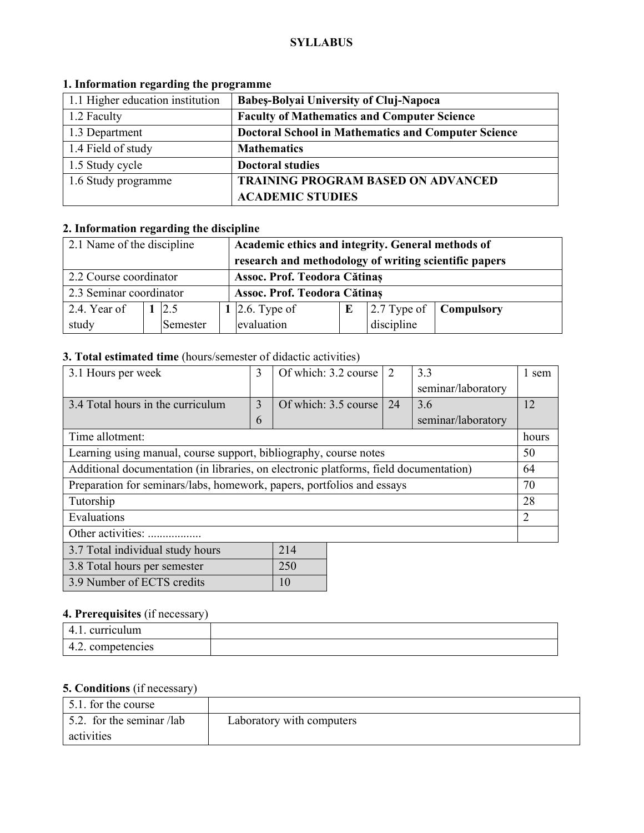### **SYLLABUS**

| 1.1 Higher education institution | Babeș-Bolyai University of Cluj-Napoca                     |
|----------------------------------|------------------------------------------------------------|
| 1.2 Faculty                      | <b>Faculty of Mathematics and Computer Science</b>         |
| 1.3 Department                   | <b>Doctoral School in Mathematics and Computer Science</b> |
| 1.4 Field of study               | <b>Mathematics</b>                                         |
| 1.5 Study cycle                  | <b>Doctoral studies</b>                                    |
| 1.6 Study programme              | <b>TRAINING PROGRAM BASED ON ADVANCED</b>                  |
|                                  | <b>ACADEMIC STUDIES</b>                                    |

# **1. Information regarding the programme**

# **2. Information regarding the discipline**

| 2.1 Name of the discipline |  |           | Academic ethics and integrity. General methods of     |   |            |                          |
|----------------------------|--|-----------|-------------------------------------------------------|---|------------|--------------------------|
|                            |  |           | research and methodology of writing scientific papers |   |            |                          |
| 2.2 Course coordinator     |  |           | Assoc. Prof. Teodora Cătinaș                          |   |            |                          |
| 2.3 Seminar coordinator    |  |           | Assoc. Prof. Teodora Cătinaș                          |   |            |                          |
| 2.4. Year of               |  | 2.5       | 1   2.6. Type of                                      | E |            | 2.7 Type of   Compulsory |
| study                      |  | Semester_ | evaluation                                            |   | discipline |                          |

# **3. Total estimated time** (hours/semester of didactic activities)

| 3.1 Hours per week                                                                    | 3 | Of which: 3.2 course | 2  | 3.3                | 1 sem |
|---------------------------------------------------------------------------------------|---|----------------------|----|--------------------|-------|
|                                                                                       |   |                      |    | seminar/laboratory |       |
| 3.4 Total hours in the curriculum                                                     | 3 | Of which: 3.5 course | 24 | 3.6                | 12    |
|                                                                                       | 6 |                      |    | seminar/laboratory |       |
| Time allotment:                                                                       |   |                      |    |                    | hours |
| Learning using manual, course support, bibliography, course notes                     |   |                      |    |                    |       |
| Additional documentation (in libraries, on electronic platforms, field documentation) |   |                      |    |                    |       |
| Preparation for seminars/labs, homework, papers, portfolios and essays                |   |                      |    |                    |       |
| Tutorship                                                                             |   |                      |    |                    |       |
| Evaluations                                                                           |   |                      |    |                    |       |
| Other activities:                                                                     |   |                      |    |                    |       |
| 214<br>3.7 Total individual study hours                                               |   |                      |    |                    |       |

| 3.8 Total hours per semester | 250 |
|------------------------------|-----|
| 3.9 Number of ECTS credits   | 10  |

# **4. Prerequisites** (if necessary)

| $\sim$<br>curr<br>       |  |
|--------------------------|--|
| encies<br>т.∠.<br>VUIIIV |  |

# **5. Conditions** (if necessary)

| 5.1. for the course               |                           |
|-----------------------------------|---------------------------|
| $\vert$ 5.2. for the seminar /lab | Laboratory with computers |
| activities                        |                           |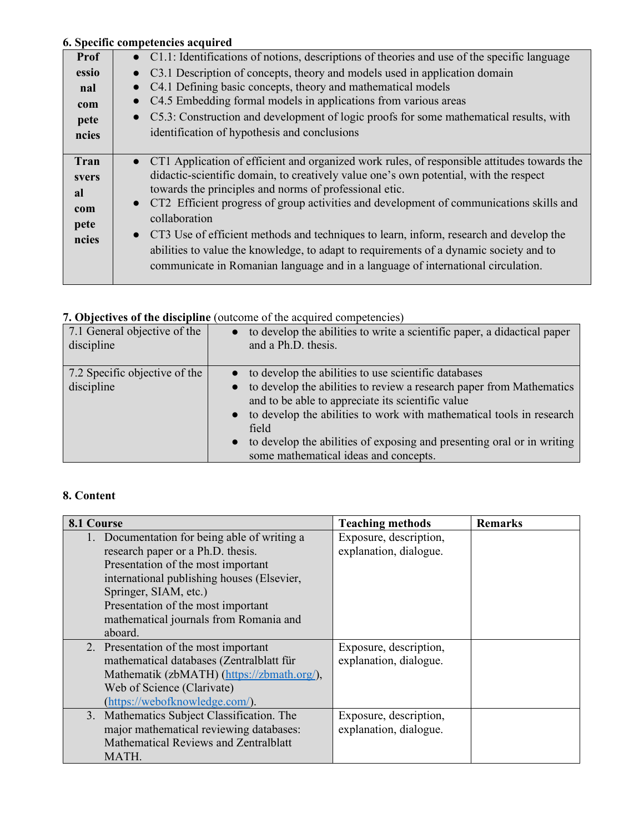## **6. Specific competencies acquired**

| Prof                                        | • C1.1: Identifications of notions, descriptions of theories and use of the specific language                                                                                                                                                                                                                                                                                                                                                                                                                                                                                                                                                                  |
|---------------------------------------------|----------------------------------------------------------------------------------------------------------------------------------------------------------------------------------------------------------------------------------------------------------------------------------------------------------------------------------------------------------------------------------------------------------------------------------------------------------------------------------------------------------------------------------------------------------------------------------------------------------------------------------------------------------------|
| essio                                       | C3.1 Description of concepts, theory and models used in application domain                                                                                                                                                                                                                                                                                                                                                                                                                                                                                                                                                                                     |
| nal                                         | C4.1 Defining basic concepts, theory and mathematical models                                                                                                                                                                                                                                                                                                                                                                                                                                                                                                                                                                                                   |
| com                                         | C4.5 Embedding formal models in applications from various areas<br>$\bullet$                                                                                                                                                                                                                                                                                                                                                                                                                                                                                                                                                                                   |
| pete                                        | C5.3: Construction and development of logic proofs for some mathematical results, with<br>$\bullet$                                                                                                                                                                                                                                                                                                                                                                                                                                                                                                                                                            |
| ncies                                       | identification of hypothesis and conclusions                                                                                                                                                                                                                                                                                                                                                                                                                                                                                                                                                                                                                   |
|                                             |                                                                                                                                                                                                                                                                                                                                                                                                                                                                                                                                                                                                                                                                |
| Tran<br>svers<br>al<br>com<br>pete<br>ncies | • CT1 Application of efficient and organized work rules, of responsible attitudes towards the<br>didactic-scientific domain, to creatively value one's own potential, with the respect<br>towards the principles and norms of professional etic.<br>CT2 Efficient progress of group activities and development of communications skills and<br>$\bullet$<br>collaboration<br>CT3 Use of efficient methods and techniques to learn, inform, research and develop the<br>$\bullet$<br>abilities to value the knowledge, to adapt to requirements of a dynamic society and to<br>communicate in Romanian language and in a language of international circulation. |

# **7. Objectives of the discipline** (outcome of the acquired competencies)

| 7.1 General objective of the                | to develop the abilities to write a scientific paper, a didactical paper                                                                                                                                                                                                                                                                                                                    |
|---------------------------------------------|---------------------------------------------------------------------------------------------------------------------------------------------------------------------------------------------------------------------------------------------------------------------------------------------------------------------------------------------------------------------------------------------|
| discipline                                  | and a Ph.D. thesis.                                                                                                                                                                                                                                                                                                                                                                         |
| 7.2 Specific objective of the<br>discipline | • to develop the abilities to use scientific databases<br>• to develop the abilities to review a research paper from Mathematics<br>and to be able to appreciate its scientific value<br>• to develop the abilities to work with mathematical tools in research<br>field<br>to develop the abilities of exposing and presenting oral or in writing<br>some mathematical ideas and concepts. |

# **8. Content**

| 8.1 Course                                                                                                                                                                                                                                                                                | <b>Teaching methods</b>                          | <b>Remarks</b> |
|-------------------------------------------------------------------------------------------------------------------------------------------------------------------------------------------------------------------------------------------------------------------------------------------|--------------------------------------------------|----------------|
| 1. Documentation for being able of writing a<br>research paper or a Ph.D. thesis.<br>Presentation of the most important<br>international publishing houses (Elsevier,<br>Springer, SIAM, etc.)<br>Presentation of the most important<br>mathematical journals from Romania and<br>aboard. | Exposure, description,<br>explanation, dialogue. |                |
| 2. Presentation of the most important<br>mathematical databases (Zentralblatt für<br>Mathematik (zbMATH) (https://zbmath.org/),<br>Web of Science (Clarivate)<br>(https://webofknowledge.com/).                                                                                           | Exposure, description,<br>explanation, dialogue. |                |
| 3. Mathematics Subject Classification. The<br>major mathematical reviewing databases:<br>Mathematical Reviews and Zentralblatt<br>MATH.                                                                                                                                                   | Exposure, description,<br>explanation, dialogue. |                |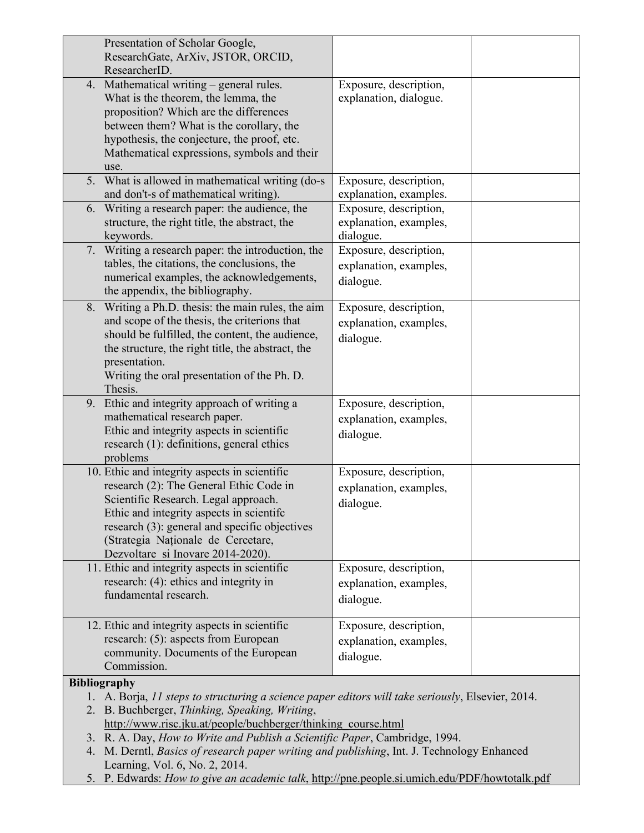| Presentation of Scholar Google,                                                                                                                                                                                                                                                                          |                                                               |
|----------------------------------------------------------------------------------------------------------------------------------------------------------------------------------------------------------------------------------------------------------------------------------------------------------|---------------------------------------------------------------|
| ResearchGate, ArXiv, JSTOR, ORCID,                                                                                                                                                                                                                                                                       |                                                               |
| ResearcherID.                                                                                                                                                                                                                                                                                            |                                                               |
| 4. Mathematical writing - general rules.<br>What is the theorem, the lemma, the<br>proposition? Which are the differences                                                                                                                                                                                | Exposure, description,<br>explanation, dialogue.              |
| between them? What is the corollary, the<br>hypothesis, the conjecture, the proof, etc.<br>Mathematical expressions, symbols and their<br>use.                                                                                                                                                           |                                                               |
| 5. What is allowed in mathematical writing (do-s)<br>and don't-s of mathematical writing).                                                                                                                                                                                                               | Exposure, description,<br>explanation, examples.              |
| 6. Writing a research paper: the audience, the<br>structure, the right title, the abstract, the<br>keywords.                                                                                                                                                                                             | Exposure, description,<br>explanation, examples,<br>dialogue. |
| 7. Writing a research paper: the introduction, the<br>tables, the citations, the conclusions, the<br>numerical examples, the acknowledgements,<br>the appendix, the bibliography.                                                                                                                        | Exposure, description,<br>explanation, examples,<br>dialogue. |
| 8. Writing a Ph.D. thesis: the main rules, the aim<br>and scope of the thesis, the criterions that<br>should be fulfilled, the content, the audience,<br>the structure, the right title, the abstract, the<br>presentation.<br>Writing the oral presentation of the Ph. D.<br>Thesis.                    | Exposure, description,<br>explanation, examples,<br>dialogue. |
| 9. Ethic and integrity approach of writing a<br>mathematical research paper.<br>Ethic and integrity aspects in scientific<br>research (1): definitions, general ethics<br>problems                                                                                                                       | Exposure, description,<br>explanation, examples,<br>dialogue. |
| 10. Ethic and integrity aspects in scientific<br>research (2): The General Ethic Code in<br>Scientific Research. Legal approach.<br>Ethic and integrity aspects in scientifc<br>research (3): general and specific objectives<br>(Strategia Naționale de Cercetare,<br>Dezvoltare si Inovare 2014-2020). | Exposure, description,<br>explanation, examples,<br>dialogue. |
| 11. Ethic and integrity aspects in scientific<br>research: (4): ethics and integrity in<br>fundamental research.                                                                                                                                                                                         | Exposure, description,<br>explanation, examples,<br>dialogue. |
| 12. Ethic and integrity aspects in scientific<br>research: (5): aspects from European<br>community. Documents of the European<br>Commission.                                                                                                                                                             | Exposure, description,<br>explanation, examples,<br>dialogue. |
| <b>Bibliography</b>                                                                                                                                                                                                                                                                                      |                                                               |

1. A. Borja, *11 steps to structuring a science paper editors will take seriously*, Elsevier, 2014.

2. B. Buchberger, *Thinking, Speaking, Writing*, http://www.risc.jku.at/people/buchberger/thinking\_course.html

- 3. R. A. Day, *How to Write and Publish a Scientific Paper*, Cambridge, 1994.
- 4. M. Derntl, *Basics of research paper writing and publishing*, Int. J. Technology Enhanced Learning, Vol. 6, No. 2, 2014.
- 5. P. Edwards: *How to give an academic talk*, http://pne.people.si.umich.edu/PDF/howtotalk.pdf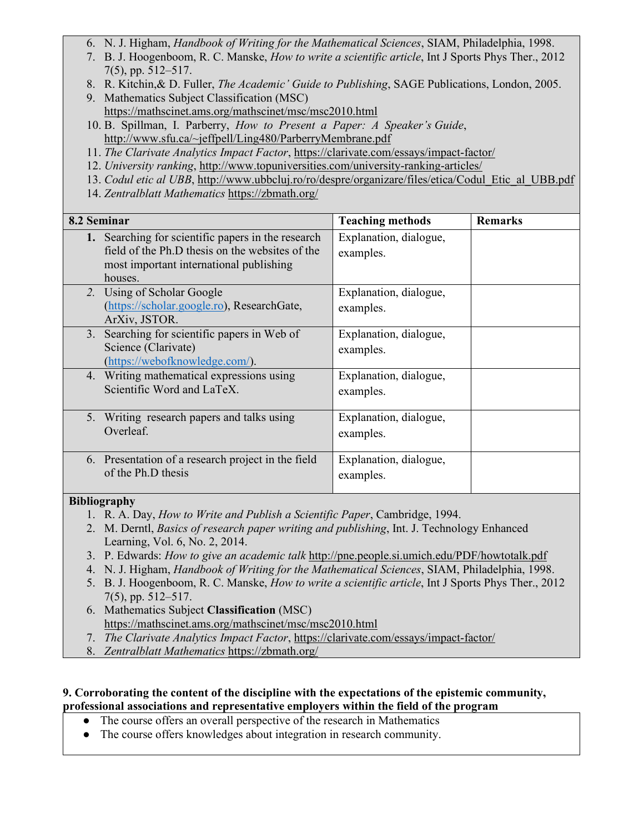- 6. N. J. Higham, *Handbook of Writing for the Mathematical Sciences*, SIAM, Philadelphia, 1998.
- 7. B. J. Hoogenboom, R. C. Manske, *How to write a scientific article*, Int J Sports Phys Ther., 2012 7(5), pp. 512–517.
- 8. R. Kitchin,& D. Fuller, *The Academic' Guide to Publishing*, SAGE Publications, London, 2005.
- 9. Mathematics Subject Classification (MSC) https://mathscinet.ams.org/mathscinet/msc/msc2010.html
- 10. B. Spillman, I. Parberry, *How to Present a Paper: A Speaker's Guide*, http://www.sfu.ca/~jeffpell/Ling480/ParberryMembrane.pdf
- 11. *The Clarivate Analytics Impact Factor*, https://clarivate.com/essays/impact-factor/
- 12. *University ranking*, http://www.topuniversities.com/university-ranking-articles/
- 13. *Codul etic al UBB*, http://www.ubbcluj.ro/ro/despre/organizare/files/etica/Codul\_Etic\_al\_UBB.pdf
- 14. *Zentralblatt Mathematics* https://zbmath.org/

| 8.2 Seminar                                                                                                                                                 | <b>Teaching methods</b>             | <b>Remarks</b> |
|-------------------------------------------------------------------------------------------------------------------------------------------------------------|-------------------------------------|----------------|
| 1. Searching for scientific papers in the research<br>field of the Ph.D thesis on the websites of the<br>most important international publishing<br>houses. | Explanation, dialogue,<br>examples. |                |
| 2. Using of Scholar Google<br>(https://scholar.google.ro), ResearchGate,<br>ArXiv, JSTOR.                                                                   | Explanation, dialogue,<br>examples. |                |
| 3. Searching for scientific papers in Web of<br>Science (Clarivate)<br>(https://webofknowledge.com/).                                                       | Explanation, dialogue,<br>examples. |                |
| 4. Writing mathematical expressions using<br>Scientific Word and LaTeX.                                                                                     | Explanation, dialogue,<br>examples. |                |
| 5. Writing research papers and talks using<br>Overleaf.                                                                                                     | Explanation, dialogue,<br>examples. |                |
| 6. Presentation of a research project in the field<br>of the Ph.D thesis                                                                                    | Explanation, dialogue,<br>examples. |                |

## **Bibliography**

- 1. R. A. Day, *How to Write and Publish a Scientific Paper*, Cambridge, 1994.
- 2. M. Derntl, *Basics of research paper writing and publishing*, Int. J. Technology Enhanced Learning, Vol. 6, No. 2, 2014.
- 3. P. Edwards: *How to give an academic talk* http://pne.people.si.umich.edu/PDF/howtotalk.pdf
- 4. N. J. Higham, *Handbook of Writing for the Mathematical Sciences*, SIAM, Philadelphia, 1998.
- 5. B. J. Hoogenboom, R. C. Manske, *How to write a scientific article*, Int J Sports Phys Ther., 2012 7(5), pp. 512–517.
- 6. Mathematics Subject **Classification** (MSC) https://mathscinet.ams.org/mathscinet/msc/msc2010.html
- 7. *The Clarivate Analytics Impact Factor*, https://clarivate.com/essays/impact-factor/
- 8. *Zentralblatt Mathematics* https://zbmath.org/

#### **9. Corroborating the content of the discipline with the expectations of the epistemic community, professional associations and representative employers within the field of the program**

- The course offers an overall perspective of the research in Mathematics
- The course offers knowledges about integration in research community.